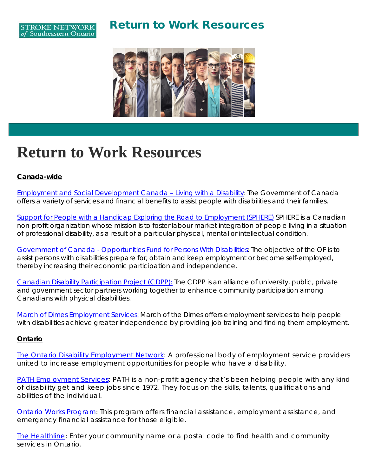### Return to Work Resources





# **Return to Work Resources**

### *Canada-wide*

[Employment and Social Development Canada –](https://www.google.ca/) Living with a Disability: The Government of Canada offers a variety of services and financial benefits to assist people with disabilities and their families.

[Support for People with a Handicap Exploring the Road to Employment \(SPHERE\)](https://sphere-qc.ca/en/services/) SPHERE is a Canadian non-profit organization whose mission is to foster labour market integration of people living in a situation of professional disability, as a result of a particular physical, mental or intellectual condition.

Government of Canada - [Opportunities Fund for Persons With Disabilities:](http://kgh/) The objective of the OF is to assist persons with disabilities prepare for, obtain and keep employment or become self-employed, thereby increasing their economic participation and independence.

[Canadian Disability Participation Project \(CDPP\):](https://cdpp.ca/employment) The CDPP is an alliance of university, public, private and government sector partners working together to enhance community participation among Canadians with physical disabilities.

[March of Dimes Employment Services:](https://www.marchofdimes.ca/EN/programs/employment/Documents/MODC_Employment_Services_Brochure_2016_EN.pdf) March of the Dimes offers employment services to help people with disabilities achieve greater independence by providing job training and finding them employment.

### *Ontario*

The Ontario Disability [Employment](http://odenetwork.com/) Network: A professional body of employment service providers united to increase employment opportunities for people who have a disability.

PATH [Employment](http://pathemployment.com/) Services: PATH is a non-profit agency that's been helping people with any kind of disability get and keep jobs since 1972. They focus on the skills, talents, qualifications and abilities of the individual.

Ontario Works [Program:](http://www.mcss.gov.on.ca/en/mcss/programs/social/ow/) This program offers financial assistance, employment assistance, and emergency financial assistance for those eligible.

The [Healthline:](http://www.thehealthline.ca/) Enter your community name or a postal code to find health and community services in Ontario.